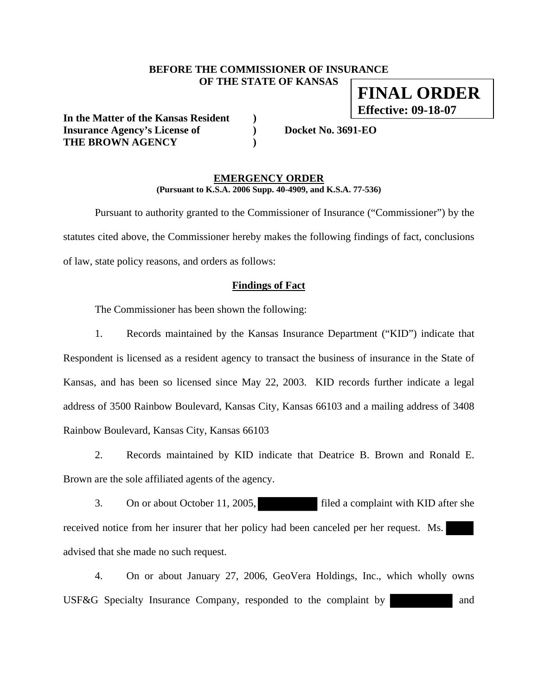## **BEFORE THE COMMISSIONER OF INSURANCE OF THE STATE OF KANSAS FINAL ORDER**

**In the Matter of the Kansas Resident ) Insurance Agency's License of ) Docket No. 3691-EO THE BROWN AGENCY )** 

**Effective: 09-18-07**

### **EMERGENCY ORDER (Pursuant to K.S.A. 2006 Supp. 40-4909, and K.S.A. 77-536)**

 Pursuant to authority granted to the Commissioner of Insurance ("Commissioner") by the statutes cited above, the Commissioner hereby makes the following findings of fact, conclusions of law, state policy reasons, and orders as follows:

## **Findings of Fact**

The Commissioner has been shown the following:

 1. Records maintained by the Kansas Insurance Department ("KID") indicate that Respondent is licensed as a resident agency to transact the business of insurance in the State of Kansas, and has been so licensed since May 22, 2003. KID records further indicate a legal address of 3500 Rainbow Boulevard, Kansas City, Kansas 66103 and a mailing address of 3408 Rainbow Boulevard, Kansas City, Kansas 66103

 2. Records maintained by KID indicate that Deatrice B. Brown and Ronald E. Brown are the sole affiliated agents of the agency.

3. On or about October 11, 2005, filed a complaint with KID after she received notice from her insurer that her policy had been canceled per her request. Ms. advised that she made no such request.

 4. On or about January 27, 2006, GeoVera Holdings, Inc., which wholly owns USF&G Specialty Insurance Company, responded to the complaint by and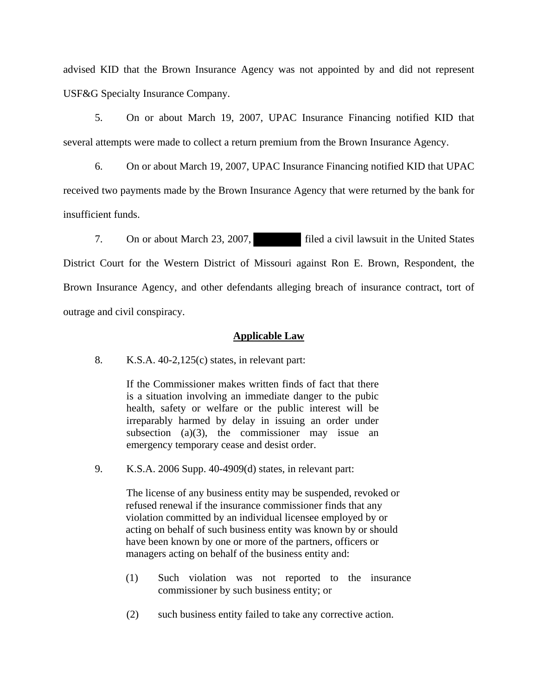advised KID that the Brown Insurance Agency was not appointed by and did not represent USF&G Specialty Insurance Company.

 5. On or about March 19, 2007, UPAC Insurance Financing notified KID that several attempts were made to collect a return premium from the Brown Insurance Agency.

 6. On or about March 19, 2007, UPAC Insurance Financing notified KID that UPAC received two payments made by the Brown Insurance Agency that were returned by the bank for insufficient funds.

 7. On or about March 23, 2007, filed a civil lawsuit in the United States District Court for the Western District of Missouri against Ron E. Brown, Respondent, the Brown Insurance Agency, and other defendants alleging breach of insurance contract, tort of outrage and civil conspiracy.

## **Applicable Law**

8. K.S.A. 40-2,125(c) states, in relevant part:

If the Commissioner makes written finds of fact that there is a situation involving an immediate danger to the pubic health, safety or welfare or the public interest will be irreparably harmed by delay in issuing an order under subsection  $(a)(3)$ , the commissioner may issue an emergency temporary cease and desist order.

9. K.S.A. 2006 Supp. 40-4909(d) states, in relevant part:

 The license of any business entity may be suspended, revoked or refused renewal if the insurance commissioner finds that any violation committed by an individual licensee employed by or acting on behalf of such business entity was known by or should have been known by one or more of the partners, officers or managers acting on behalf of the business entity and:

- (1) Such violation was not reported to the insurance commissioner by such business entity; or
- (2) such business entity failed to take any corrective action.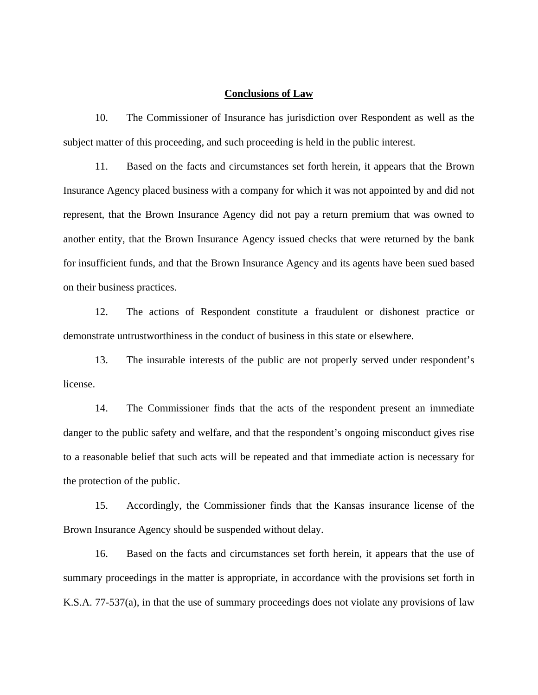### **Conclusions of Law**

 10. The Commissioner of Insurance has jurisdiction over Respondent as well as the subject matter of this proceeding, and such proceeding is held in the public interest.

 11. Based on the facts and circumstances set forth herein, it appears that the Brown Insurance Agency placed business with a company for which it was not appointed by and did not represent, that the Brown Insurance Agency did not pay a return premium that was owned to another entity, that the Brown Insurance Agency issued checks that were returned by the bank for insufficient funds, and that the Brown Insurance Agency and its agents have been sued based on their business practices.

 12. The actions of Respondent constitute a fraudulent or dishonest practice or demonstrate untrustworthiness in the conduct of business in this state or elsewhere.

 13. The insurable interests of the public are not properly served under respondent's license.

 14. The Commissioner finds that the acts of the respondent present an immediate danger to the public safety and welfare, and that the respondent's ongoing misconduct gives rise to a reasonable belief that such acts will be repeated and that immediate action is necessary for the protection of the public.

 15. Accordingly, the Commissioner finds that the Kansas insurance license of the Brown Insurance Agency should be suspended without delay.

 16. Based on the facts and circumstances set forth herein, it appears that the use of summary proceedings in the matter is appropriate, in accordance with the provisions set forth in K.S.A. 77-537(a), in that the use of summary proceedings does not violate any provisions of law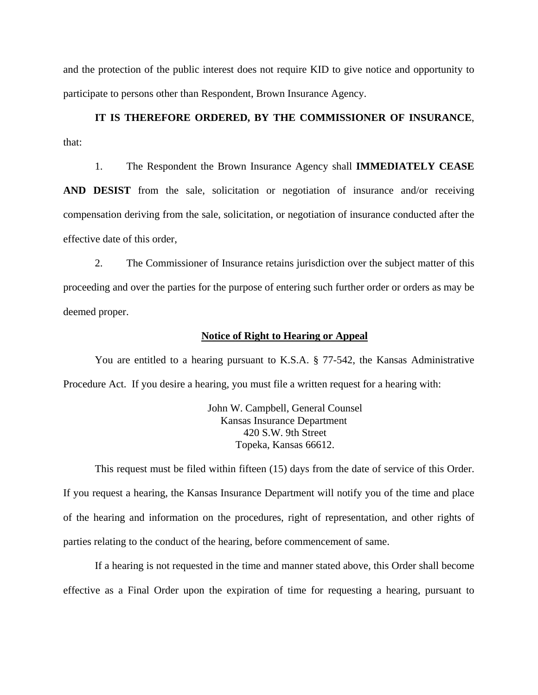and the protection of the public interest does not require KID to give notice and opportunity to participate to persons other than Respondent, Brown Insurance Agency.

 **IT IS THEREFORE ORDERED, BY THE COMMISSIONER OF INSURANCE**, that:

1. The Respondent the Brown Insurance Agency shall **IMMEDIATELY CEASE** 

**AND DESIST** from the sale, solicitation or negotiation of insurance and/or receiving compensation deriving from the sale, solicitation, or negotiation of insurance conducted after the effective date of this order,

 2. The Commissioner of Insurance retains jurisdiction over the subject matter of this proceeding and over the parties for the purpose of entering such further order or orders as may be deemed proper.

#### **Notice of Right to Hearing or Appeal**

You are entitled to a hearing pursuant to K.S.A. § 77-542, the Kansas Administrative Procedure Act. If you desire a hearing, you must file a written request for a hearing with:

> John W. Campbell, General Counsel Kansas Insurance Department 420 S.W. 9th Street Topeka, Kansas 66612.

This request must be filed within fifteen (15) days from the date of service of this Order. If you request a hearing, the Kansas Insurance Department will notify you of the time and place of the hearing and information on the procedures, right of representation, and other rights of parties relating to the conduct of the hearing, before commencement of same.

If a hearing is not requested in the time and manner stated above, this Order shall become effective as a Final Order upon the expiration of time for requesting a hearing, pursuant to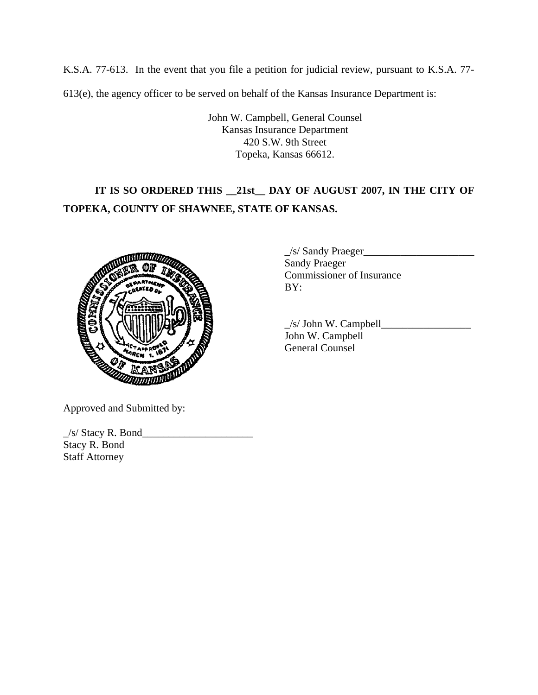K.S.A. 77-613. In the event that you file a petition for judicial review, pursuant to K.S.A. 77- 613(e), the agency officer to be served on behalf of the Kansas Insurance Department is:

> John W. Campbell, General Counsel Kansas Insurance Department 420 S.W. 9th Street Topeka, Kansas 66612.

# **IT IS SO ORDERED THIS \_\_21st\_\_ DAY OF AUGUST 2007, IN THE CITY OF TOPEKA, COUNTY OF SHAWNEE, STATE OF KANSAS.**



 $\angle$ s/ Sandy Praeger $\angle$  Sandy Praeger Commissioner of Insurance

 $\angle$ s/ John W. Campbell $\angle$  John W. Campbell General Counsel

Approved and Submitted by:

 $\angle$ s/ Stacy R. Bond $\angle$ Stacy R. Bond Staff Attorney